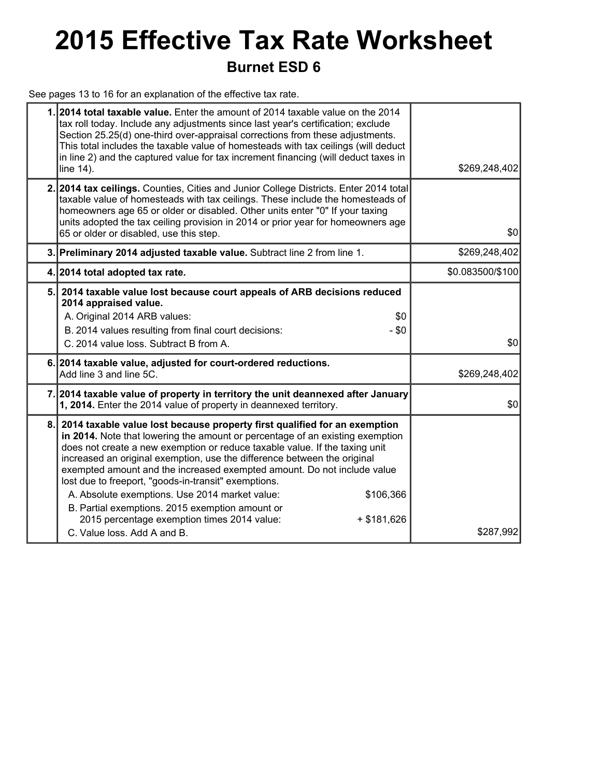## **2015 Effective Tax Rate Worksheet Burnet ESD 6**

See pages 13 to 16 for an explanation of the effective tax rate.

|    | 1.2014 total taxable value. Enter the amount of 2014 taxable value on the 2014<br>tax roll today. Include any adjustments since last year's certification; exclude<br>Section 25.25(d) one-third over-appraisal corrections from these adjustments.<br>This total includes the taxable value of homesteads with tax ceilings (will deduct<br>in line 2) and the captured value for tax increment financing (will deduct taxes in<br>line 14).                                                                                                                                                                                                                            | \$269,248,402    |
|----|--------------------------------------------------------------------------------------------------------------------------------------------------------------------------------------------------------------------------------------------------------------------------------------------------------------------------------------------------------------------------------------------------------------------------------------------------------------------------------------------------------------------------------------------------------------------------------------------------------------------------------------------------------------------------|------------------|
|    | 2. 2014 tax ceilings. Counties, Cities and Junior College Districts. Enter 2014 total<br>taxable value of homesteads with tax ceilings. These include the homesteads of<br>homeowners age 65 or older or disabled. Other units enter "0" If your taxing<br>units adopted the tax ceiling provision in 2014 or prior year for homeowners age<br>65 or older or disabled, use this step.                                                                                                                                                                                                                                                                                   | \$0              |
|    | 3. Preliminary 2014 adjusted taxable value. Subtract line 2 from line 1.                                                                                                                                                                                                                                                                                                                                                                                                                                                                                                                                                                                                 | \$269,248,402    |
|    | 4. 2014 total adopted tax rate.                                                                                                                                                                                                                                                                                                                                                                                                                                                                                                                                                                                                                                          | \$0.083500/\$100 |
| 5. | 2014 taxable value lost because court appeals of ARB decisions reduced<br>2014 appraised value.<br>A. Original 2014 ARB values:<br>\$0<br>B. 2014 values resulting from final court decisions:<br>$- $0$<br>C. 2014 value loss. Subtract B from A.                                                                                                                                                                                                                                                                                                                                                                                                                       | \$0              |
|    | 6. 2014 taxable value, adjusted for court-ordered reductions.<br>Add line 3 and line 5C.                                                                                                                                                                                                                                                                                                                                                                                                                                                                                                                                                                                 | \$269,248,402    |
|    | 7. 2014 taxable value of property in territory the unit deannexed after January<br>1, 2014. Enter the 2014 value of property in deannexed territory.                                                                                                                                                                                                                                                                                                                                                                                                                                                                                                                     | \$0              |
| 8. | 2014 taxable value lost because property first qualified for an exemption<br>in 2014. Note that lowering the amount or percentage of an existing exemption<br>does not create a new exemption or reduce taxable value. If the taxing unit<br>increased an original exemption, use the difference between the original<br>exempted amount and the increased exempted amount. Do not include value<br>lost due to freeport, "goods-in-transit" exemptions.<br>A. Absolute exemptions. Use 2014 market value:<br>\$106,366<br>B. Partial exemptions. 2015 exemption amount or<br>2015 percentage exemption times 2014 value:<br>$+ $181,626$<br>C. Value loss, Add A and B. | \$287,992        |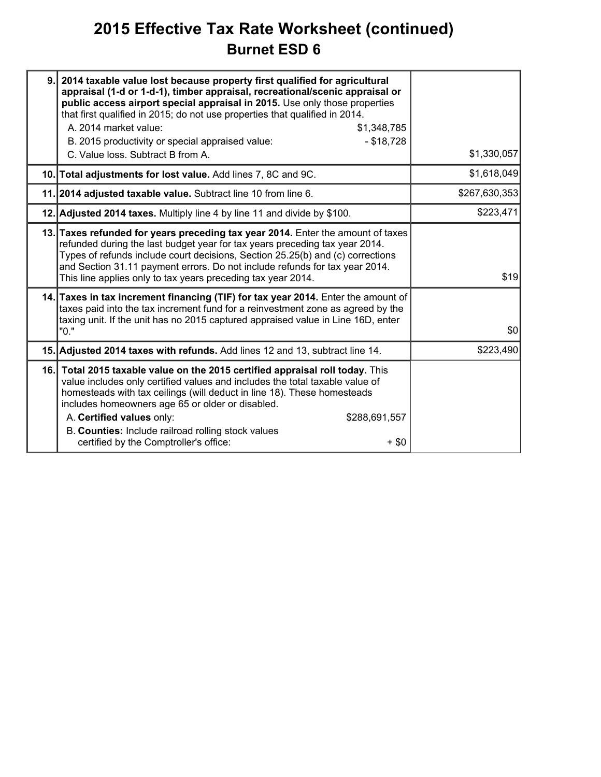### **2015 Effective Tax Rate Worksheet (continued) Burnet ESD 6**

| 9. | 2014 taxable value lost because property first qualified for agricultural<br>appraisal (1-d or 1-d-1), timber appraisal, recreational/scenic appraisal or<br>public access airport special appraisal in 2015. Use only those properties<br>that first qualified in 2015; do not use properties that qualified in 2014.<br>A. 2014 market value:<br>\$1,348,785<br>$- $18,728$<br>B. 2015 productivity or special appraised value:<br>C. Value loss. Subtract B from A. | \$1,330,057   |
|----|------------------------------------------------------------------------------------------------------------------------------------------------------------------------------------------------------------------------------------------------------------------------------------------------------------------------------------------------------------------------------------------------------------------------------------------------------------------------|---------------|
|    | 10. Total adjustments for lost value. Add lines 7, 8C and 9C.                                                                                                                                                                                                                                                                                                                                                                                                          | \$1,618,049   |
|    | 11. 2014 adjusted taxable value. Subtract line 10 from line 6.                                                                                                                                                                                                                                                                                                                                                                                                         | \$267,630,353 |
|    | 12. Adjusted 2014 taxes. Multiply line 4 by line 11 and divide by \$100.                                                                                                                                                                                                                                                                                                                                                                                               | \$223,471     |
|    | 13. Taxes refunded for years preceding tax year 2014. Enter the amount of taxes<br>refunded during the last budget year for tax years preceding tax year 2014.<br>Types of refunds include court decisions, Section 25.25(b) and (c) corrections<br>and Section 31.11 payment errors. Do not include refunds for tax year 2014.<br>This line applies only to tax years preceding tax year 2014.                                                                        | \$19          |
|    | 14. Taxes in tax increment financing (TIF) for tax year 2014. Enter the amount of<br>taxes paid into the tax increment fund for a reinvestment zone as agreed by the<br>taxing unit. If the unit has no 2015 captured appraised value in Line 16D, enter<br>"0."                                                                                                                                                                                                       | \$0           |
|    | 15. Adjusted 2014 taxes with refunds. Add lines 12 and 13, subtract line 14.                                                                                                                                                                                                                                                                                                                                                                                           | \$223,490     |
|    | 16. Total 2015 taxable value on the 2015 certified appraisal roll today. This<br>value includes only certified values and includes the total taxable value of<br>homesteads with tax ceilings (will deduct in line 18). These homesteads<br>includes homeowners age 65 or older or disabled.<br>A. Certified values only:<br>\$288,691,557<br>B. Counties: Include railroad rolling stock values<br>certified by the Comptroller's office:<br>$+$ \$0                  |               |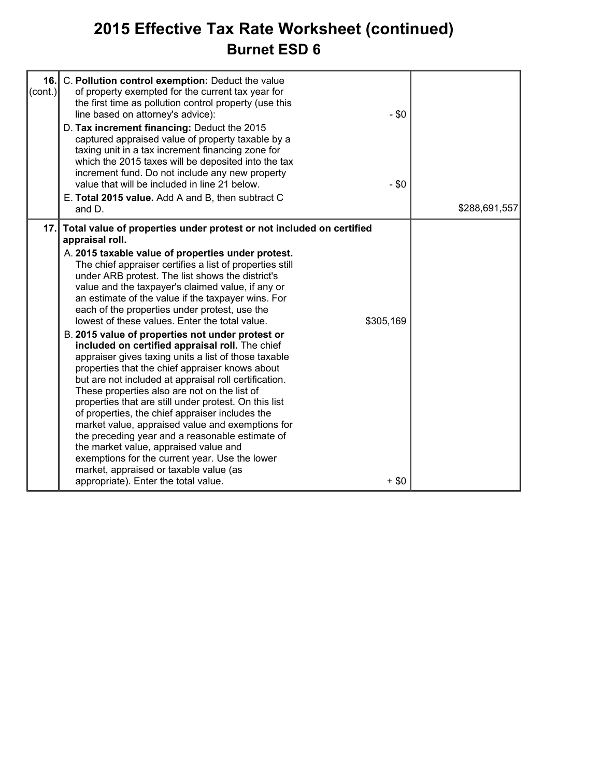### **2015 Effective Tax Rate Worksheet (continued) Burnet ESD 6**

| $\text{(cont.)}$ | 16. C. Pollution control exemption: Deduct the value<br>of property exempted for the current tax year for<br>the first time as pollution control property (use this<br>line based on attorney's advice):<br>D. Tax increment financing: Deduct the 2015<br>captured appraised value of property taxable by a<br>taxing unit in a tax increment financing zone for<br>which the 2015 taxes will be deposited into the tax<br>increment fund. Do not include any new property<br>value that will be included in line 21 below.<br>E. Total 2015 value. Add A and B, then subtract C<br>and D.                                                                                                                                                                                                                                                                                                                                                                                                                                                                                                                                                                                                                | $-$ \$0<br>- \$0     | \$288,691,557 |
|------------------|------------------------------------------------------------------------------------------------------------------------------------------------------------------------------------------------------------------------------------------------------------------------------------------------------------------------------------------------------------------------------------------------------------------------------------------------------------------------------------------------------------------------------------------------------------------------------------------------------------------------------------------------------------------------------------------------------------------------------------------------------------------------------------------------------------------------------------------------------------------------------------------------------------------------------------------------------------------------------------------------------------------------------------------------------------------------------------------------------------------------------------------------------------------------------------------------------------|----------------------|---------------|
|                  | 17. Total value of properties under protest or not included on certified<br>appraisal roll.<br>A. 2015 taxable value of properties under protest.<br>The chief appraiser certifies a list of properties still<br>under ARB protest. The list shows the district's<br>value and the taxpayer's claimed value, if any or<br>an estimate of the value if the taxpayer wins. For<br>each of the properties under protest, use the<br>lowest of these values. Enter the total value.<br>B. 2015 value of properties not under protest or<br>included on certified appraisal roll. The chief<br>appraiser gives taxing units a list of those taxable<br>properties that the chief appraiser knows about<br>but are not included at appraisal roll certification.<br>These properties also are not on the list of<br>properties that are still under protest. On this list<br>of properties, the chief appraiser includes the<br>market value, appraised value and exemptions for<br>the preceding year and a reasonable estimate of<br>the market value, appraised value and<br>exemptions for the current year. Use the lower<br>market, appraised or taxable value (as<br>appropriate). Enter the total value. | \$305,169<br>$+$ \$0 |               |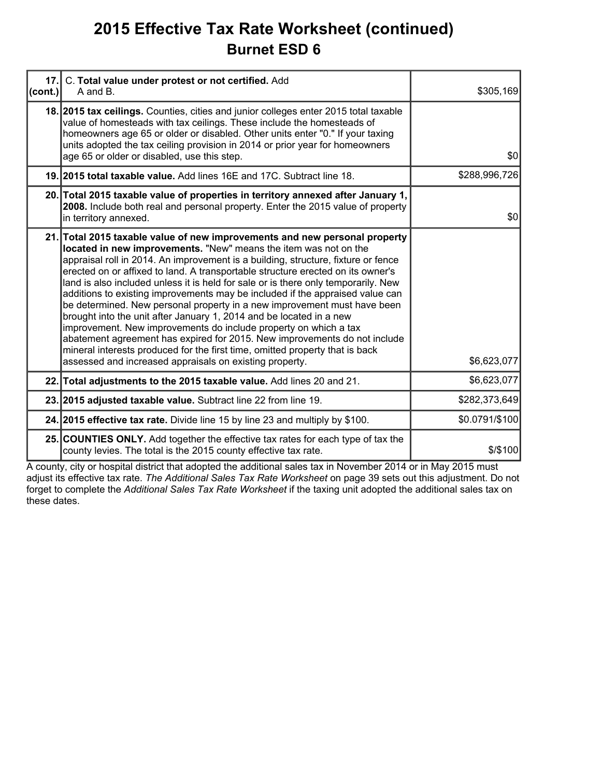### **2015 Effective Tax Rate Worksheet (continued) Burnet ESD 6**

| 17.     | C. Total value under protest or not certified. Add                                                                                                                                                                                                                                                                                                                                                                                                                                                                                                                                                                                                                                                                                                                                                                                                                                                                                           |                |
|---------|----------------------------------------------------------------------------------------------------------------------------------------------------------------------------------------------------------------------------------------------------------------------------------------------------------------------------------------------------------------------------------------------------------------------------------------------------------------------------------------------------------------------------------------------------------------------------------------------------------------------------------------------------------------------------------------------------------------------------------------------------------------------------------------------------------------------------------------------------------------------------------------------------------------------------------------------|----------------|
| (cont.) | A and B.                                                                                                                                                                                                                                                                                                                                                                                                                                                                                                                                                                                                                                                                                                                                                                                                                                                                                                                                     | \$305,169      |
|         | 18. 2015 tax cellings. Counties, cities and junior colleges enter 2015 total taxable<br>value of homesteads with tax ceilings. These include the homesteads of<br>homeowners age 65 or older or disabled. Other units enter "0." If your taxing<br>units adopted the tax ceiling provision in 2014 or prior year for homeowners<br>age 65 or older or disabled, use this step.                                                                                                                                                                                                                                                                                                                                                                                                                                                                                                                                                               | \$0            |
|         | 19. 2015 total taxable value. Add lines 16E and 17C. Subtract line 18.                                                                                                                                                                                                                                                                                                                                                                                                                                                                                                                                                                                                                                                                                                                                                                                                                                                                       | \$288,996,726  |
|         | 20. Total 2015 taxable value of properties in territory annexed after January 1,<br>2008. Include both real and personal property. Enter the 2015 value of property<br>in territory annexed.                                                                                                                                                                                                                                                                                                                                                                                                                                                                                                                                                                                                                                                                                                                                                 | \$0            |
|         | 21. Total 2015 taxable value of new improvements and new personal property<br>located in new improvements. "New" means the item was not on the<br>appraisal roll in 2014. An improvement is a building, structure, fixture or fence<br>erected on or affixed to land. A transportable structure erected on its owner's<br>land is also included unless it is held for sale or is there only temporarily. New<br>additions to existing improvements may be included if the appraised value can<br>be determined. New personal property in a new improvement must have been<br>brought into the unit after January 1, 2014 and be located in a new<br>improvement. New improvements do include property on which a tax<br>abatement agreement has expired for 2015. New improvements do not include<br>mineral interests produced for the first time, omitted property that is back<br>assessed and increased appraisals on existing property. | \$6,623,077    |
|         | 22. Total adjustments to the 2015 taxable value. Add lines 20 and 21.                                                                                                                                                                                                                                                                                                                                                                                                                                                                                                                                                                                                                                                                                                                                                                                                                                                                        | \$6,623,077    |
|         | 23. 2015 adjusted taxable value. Subtract line 22 from line 19.                                                                                                                                                                                                                                                                                                                                                                                                                                                                                                                                                                                                                                                                                                                                                                                                                                                                              | \$282,373,649  |
|         | 24. 2015 effective tax rate. Divide line 15 by line 23 and multiply by \$100.                                                                                                                                                                                                                                                                                                                                                                                                                                                                                                                                                                                                                                                                                                                                                                                                                                                                | \$0.0791/\$100 |
|         | 25. COUNTIES ONLY. Add together the effective tax rates for each type of tax the<br>county levies. The total is the 2015 county effective tax rate.                                                                                                                                                                                                                                                                                                                                                                                                                                                                                                                                                                                                                                                                                                                                                                                          | \$/\$100       |

A county, city or hospital district that adopted the additional sales tax in November 2014 or in May 2015 must adjust its effective tax rate. *The Additional Sales Tax Rate Worksheet* on page 39 sets out this adjustment. Do not forget to complete the *Additional Sales Tax Rate Worksheet* if the taxing unit adopted the additional sales tax on these dates.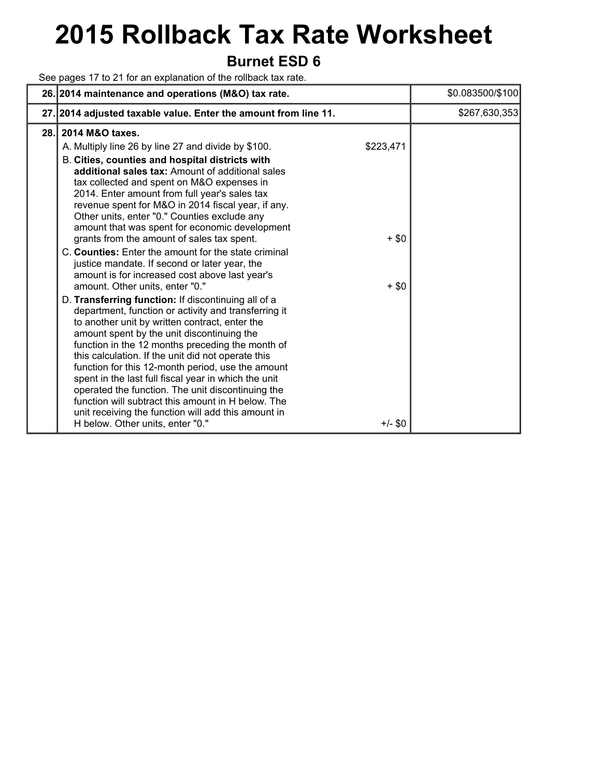# **2015 Rollback Tax Rate Worksheet**

### **Burnet ESD 6**

See pages 17 to 21 for an explanation of the rollback tax rate.

|      | 26. 2014 maintenance and operations (M&O) tax rate.                                                                                                                                                                                                                                                                                                                                                                                                                                                                                                                                                                                                                                                                                                                                                                                                                                                                                                                                                                                                                                                                                                                                                                                                                                                                          |                                              | \$0.083500/\$100 |
|------|------------------------------------------------------------------------------------------------------------------------------------------------------------------------------------------------------------------------------------------------------------------------------------------------------------------------------------------------------------------------------------------------------------------------------------------------------------------------------------------------------------------------------------------------------------------------------------------------------------------------------------------------------------------------------------------------------------------------------------------------------------------------------------------------------------------------------------------------------------------------------------------------------------------------------------------------------------------------------------------------------------------------------------------------------------------------------------------------------------------------------------------------------------------------------------------------------------------------------------------------------------------------------------------------------------------------------|----------------------------------------------|------------------|
|      | 27. 2014 adjusted taxable value. Enter the amount from line 11.                                                                                                                                                                                                                                                                                                                                                                                                                                                                                                                                                                                                                                                                                                                                                                                                                                                                                                                                                                                                                                                                                                                                                                                                                                                              |                                              | \$267,630,353    |
| 28.1 | 2014 M&O taxes.<br>A. Multiply line 26 by line 27 and divide by \$100.<br>B. Cities, counties and hospital districts with<br>additional sales tax: Amount of additional sales<br>tax collected and spent on M&O expenses in<br>2014. Enter amount from full year's sales tax<br>revenue spent for M&O in 2014 fiscal year, if any.<br>Other units, enter "0." Counties exclude any<br>amount that was spent for economic development<br>grants from the amount of sales tax spent.<br>C. Counties: Enter the amount for the state criminal<br>justice mandate. If second or later year, the<br>amount is for increased cost above last year's<br>amount. Other units, enter "0."<br>D. Transferring function: If discontinuing all of a<br>department, function or activity and transferring it<br>to another unit by written contract, enter the<br>amount spent by the unit discontinuing the<br>function in the 12 months preceding the month of<br>this calculation. If the unit did not operate this<br>function for this 12-month period, use the amount<br>spent in the last full fiscal year in which the unit<br>operated the function. The unit discontinuing the<br>function will subtract this amount in H below. The<br>unit receiving the function will add this amount in<br>H below. Other units, enter "0." | \$223,471<br>$+$ \$0<br>$+$ \$0<br>$+/-$ \$0 |                  |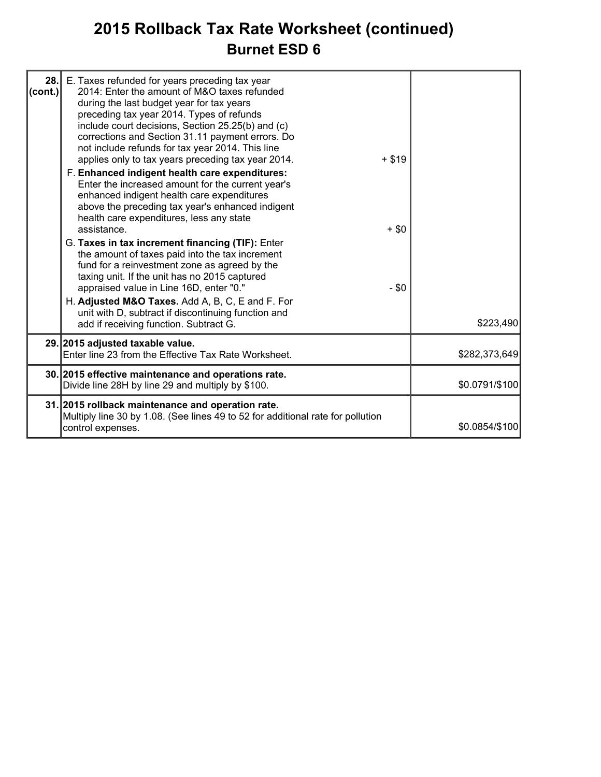### **2015 Rollback Tax Rate Worksheet (continued) Burnet ESD 6**

| 28.1<br> cont. | E. Taxes refunded for years preceding tax year<br>2014: Enter the amount of M&O taxes refunded<br>during the last budget year for tax years<br>preceding tax year 2014. Types of refunds<br>include court decisions, Section 25.25(b) and (c)<br>corrections and Section 31.11 payment errors. Do<br>not include refunds for tax year 2014. This line<br>applies only to tax years preceding tax year 2014.<br>F. Enhanced indigent health care expenditures:<br>Enter the increased amount for the current year's<br>enhanced indigent health care expenditures<br>above the preceding tax year's enhanced indigent<br>health care expenditures, less any state<br>assistance.<br>G. Taxes in tax increment financing (TIF): Enter<br>the amount of taxes paid into the tax increment<br>fund for a reinvestment zone as agreed by the<br>taxing unit. If the unit has no 2015 captured<br>appraised value in Line 16D, enter "0." | $+ $19$<br>$+$ \$0<br>$- $0$ |                |
|----------------|-------------------------------------------------------------------------------------------------------------------------------------------------------------------------------------------------------------------------------------------------------------------------------------------------------------------------------------------------------------------------------------------------------------------------------------------------------------------------------------------------------------------------------------------------------------------------------------------------------------------------------------------------------------------------------------------------------------------------------------------------------------------------------------------------------------------------------------------------------------------------------------------------------------------------------------|------------------------------|----------------|
|                | H. Adjusted M&O Taxes. Add A, B, C, E and F. For<br>unit with D, subtract if discontinuing function and<br>add if receiving function. Subtract G.                                                                                                                                                                                                                                                                                                                                                                                                                                                                                                                                                                                                                                                                                                                                                                                   |                              | \$223,490      |
|                | 29. 2015 adjusted taxable value.<br>Enter line 23 from the Effective Tax Rate Worksheet.                                                                                                                                                                                                                                                                                                                                                                                                                                                                                                                                                                                                                                                                                                                                                                                                                                            |                              | \$282,373,649  |
|                | 30. 2015 effective maintenance and operations rate.<br>Divide line 28H by line 29 and multiply by \$100.                                                                                                                                                                                                                                                                                                                                                                                                                                                                                                                                                                                                                                                                                                                                                                                                                            |                              | \$0.0791/\$100 |
|                | 31. 2015 rollback maintenance and operation rate.<br>Multiply line 30 by 1.08. (See lines 49 to 52 for additional rate for pollution<br>control expenses.                                                                                                                                                                                                                                                                                                                                                                                                                                                                                                                                                                                                                                                                                                                                                                           |                              | \$0.0854/\$100 |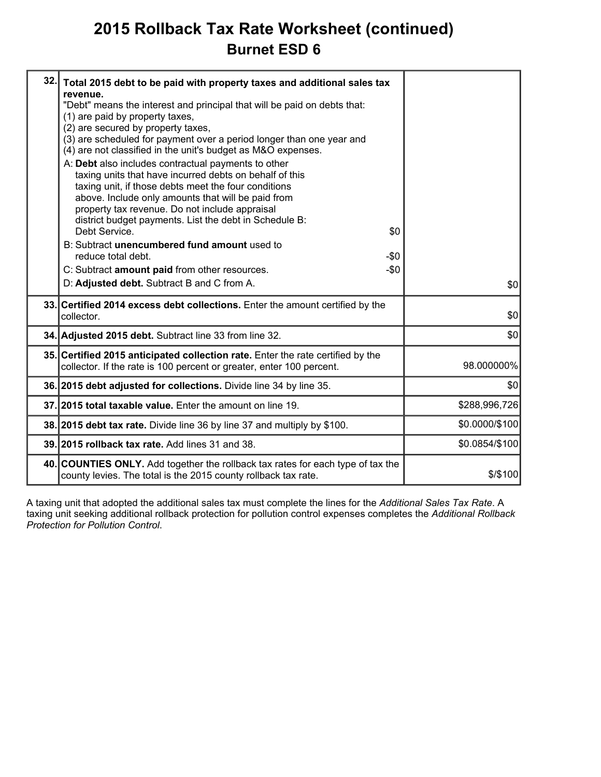### **2015 Rollback Tax Rate Worksheet (continued) Burnet ESD 6**

| 32. | Total 2015 debt to be paid with property taxes and additional sales tax<br>revenue.<br>"Debt" means the interest and principal that will be paid on debts that:<br>(1) are paid by property taxes,<br>(2) are secured by property taxes,<br>(3) are scheduled for payment over a period longer than one year and<br>(4) are not classified in the unit's budget as M&O expenses.<br>A: Debt also includes contractual payments to other<br>taxing units that have incurred debts on behalf of this<br>taxing unit, if those debts meet the four conditions<br>above. Include only amounts that will be paid from<br>property tax revenue. Do not include appraisal<br>district budget payments. List the debt in Schedule B:<br>Debt Service.<br>\$0<br>B: Subtract unencumbered fund amount used to<br>reduce total debt.<br>-\$0<br>C: Subtract amount paid from other resources.<br>$-\$0$<br>D: Adjusted debt. Subtract B and C from A. | \$0            |
|-----|---------------------------------------------------------------------------------------------------------------------------------------------------------------------------------------------------------------------------------------------------------------------------------------------------------------------------------------------------------------------------------------------------------------------------------------------------------------------------------------------------------------------------------------------------------------------------------------------------------------------------------------------------------------------------------------------------------------------------------------------------------------------------------------------------------------------------------------------------------------------------------------------------------------------------------------------|----------------|
|     | 33. Certified 2014 excess debt collections. Enter the amount certified by the<br>collector.                                                                                                                                                                                                                                                                                                                                                                                                                                                                                                                                                                                                                                                                                                                                                                                                                                                 | \$0            |
|     | 34. Adjusted 2015 debt. Subtract line 33 from line 32.                                                                                                                                                                                                                                                                                                                                                                                                                                                                                                                                                                                                                                                                                                                                                                                                                                                                                      | \$0            |
|     | 35. Certified 2015 anticipated collection rate. Enter the rate certified by the<br>collector. If the rate is 100 percent or greater, enter 100 percent.                                                                                                                                                                                                                                                                                                                                                                                                                                                                                                                                                                                                                                                                                                                                                                                     | 98.000000%     |
|     | 36. 2015 debt adjusted for collections. Divide line 34 by line 35.                                                                                                                                                                                                                                                                                                                                                                                                                                                                                                                                                                                                                                                                                                                                                                                                                                                                          | \$0            |
|     | 37. 2015 total taxable value. Enter the amount on line 19.                                                                                                                                                                                                                                                                                                                                                                                                                                                                                                                                                                                                                                                                                                                                                                                                                                                                                  | \$288,996,726  |
|     | 38. 2015 debt tax rate. Divide line 36 by line 37 and multiply by \$100.                                                                                                                                                                                                                                                                                                                                                                                                                                                                                                                                                                                                                                                                                                                                                                                                                                                                    | \$0.0000/\$100 |
|     | 39. 2015 rollback tax rate. Add lines 31 and 38.                                                                                                                                                                                                                                                                                                                                                                                                                                                                                                                                                                                                                                                                                                                                                                                                                                                                                            | \$0.0854/\$100 |
|     | 40. COUNTIES ONLY. Add together the rollback tax rates for each type of tax the<br>county levies. The total is the 2015 county rollback tax rate.                                                                                                                                                                                                                                                                                                                                                                                                                                                                                                                                                                                                                                                                                                                                                                                           | $$$ /\$100     |
|     |                                                                                                                                                                                                                                                                                                                                                                                                                                                                                                                                                                                                                                                                                                                                                                                                                                                                                                                                             |                |

A taxing unit that adopted the additional sales tax must complete the lines for the *Additional Sales Tax Rate*. A taxing unit seeking additional rollback protection for pollution control expenses completes the *Additional Rollback Protection for Pollution Control*.